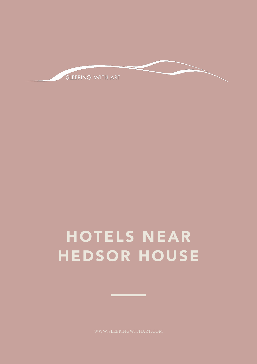

# HOTELS NEAR HEDSOR HOUSE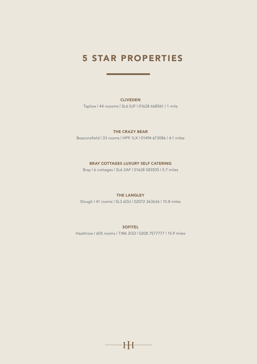### 5 STAR PROPERTIES

### CLIVEDEN

Taplow | 44 roooms | SL6 0JF | 01628 668561 | 1 mile

### THE CRAZY BEAR

Beaconsfield | 33 rooms | HP9 1LX | 01494 673086 | 4.1 miles

### BRAY COTTAGES LUXURY SELF CATERING

Bray | 6 cottages | SL6 2AF | 01628 583505 | 5.7 miles

#### THE LANGLEY

Slough | 41 rooms | SL3 6DU | 02072 363636 | 10.8 miles

#### **SOFITEL**

Heathrow | 605 rooms | TW6 2GD | 0208 7577777 | 15.9 miles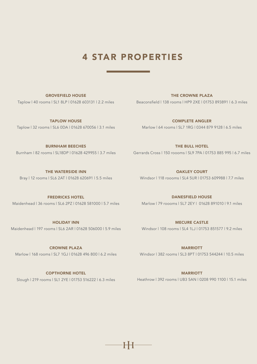# 4 STAR PROPERTIES

GROVEFIELD HOUSE

Taplow | 40 rooms | SL1 8LP | 01628 603131 | 2.2 miles Beaconsfield | 138 rooms | HP9 2XE | 01753 893891 | 6.3 miles THE CROWNE PLAZA

TAPLOW HOUSE Taplow | 32 rooms | SL6 0DA | 01628 670056 | 3.1 miles

COMPLETE ANGLER Marlow | 64 rooms | SL7 1RG | 0344 879 9128 | 6.5 miles

BURNHAM BEECHES

THE WATERSIDE INN Bray | 12 rooms | SL6 2AT | 01628 620691 | 5.5 miles

Burnham | 82 rooms | SL18DP | 01628 429955 | 3.7 miles Gerrards Cross | 150 roooms | SL9 7PA | 01753 885 995 | 6.7 miles

THE BULL HOTEL

OAKLEY COURT Windsor | 118 roooms | SL4 5UR | 01753 609988 | 7.7 miles

DANESFIELD HOUSE Marlow | 79 roooms | SL7 2EY | 01628 891010 | 9.1 miles

MECURE CASTLE Windsor | 108 rooms | SL4 1LJ | 01753 851577 | 9.2 miles

FREDRICKS HOTEL Maidenhead | 36 rooms | SL6 2PZ | 01628 581000 | 5.7 miles

HOLIDAY INN Maidenhead | 197 rooms | SL6 2AR | 01628 506000 | 5.9 miles

CROWNE PLAZA Marlow | 168 rooms | SL7 1GJ | 01628 496 800 | 6.2 miles **MARRIOTT** 

Windsor | 382 rooms | SL3 8PT | 01753 544244 | 10.5 miles

Slough | 219 rooms | SL1 2YE | 01753 516222 | 6.3 miles Heathrow | 392 rooms | UB3 5AN | 0208 990 1100 | 15.1 miles **MARRIOTT** 

COPTHORNE HOTEL